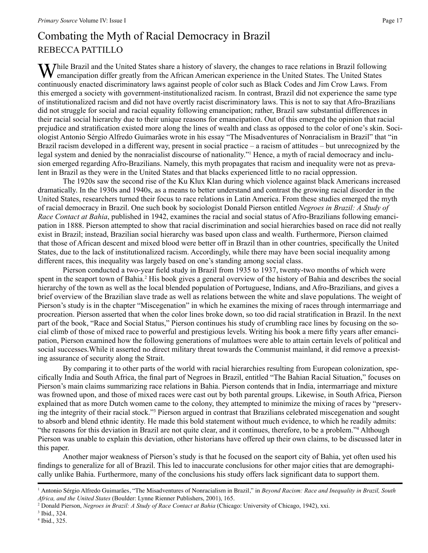## Combating the Myth of Racial Democracy in Brazil REBECCA PATTILLO

 $\sum$  Thile Brazil and the United States share a history of slavery, the changes to race relations in Brazil following  $\mathbf W$  emancipation differ greatly from the African American experience in the United States. The United States continuously enacted discriminatory laws against people of color such as Black Codes and Jim Crow Laws. From this emerged a society with government-institutionalized racism. In contrast, Brazil did not experience the same type of institutionalized racism and did not have overtly racist discriminatory laws. This is not to say that Afro-Brazilians did not struggle for social and racial equality following emancipation; rather, Brazil saw substantial differences in their racial social hierarchy due to their unique reasons for emancipation. Out of this emerged the opinion that racial prejudice and stratification existed more along the lines of wealth and class as opposed to the color of one's skin. Sociologist Antonio Sérgio Alfredo Guimarães wrote in his essay "The Misadventures of Nonracialism in Brazil" that "in Brazil racism developed in a different way, present in social practice – a racism of attitudes – but unrecognized by the legal system and denied by the nonracialist discourse of nationality."<sup>1</sup> Hence, a myth of racial democracy and inclusion emerged regarding Afro-Brazilians. Namely, this myth propagates that racism and inequality were not as prevalent in Brazil as they were in the United States and that blacks experienced little to no racial oppression.

The 1920s saw the second rise of the Ku Klux Klan during which violence against black Americans increased dramatically. In the 1930s and 1940s, as a means to better understand and contrast the growing racial disorder in the United States, researchers turned their focus to race relations in Latin America. From these studies emerged the myth of racial democracy in Brazil. One such book by sociologist Donald Pierson entitled *Negroes in Brazil: A Study of Race Contact at Bahia*, published in 1942, examines the racial and social status of Afro-Brazilians following emancipation in 1888. Pierson attempted to show that racial discrimination and social hierarchies based on race did not really exist in Brazil; instead, Brazilian social hierarchy was based upon class and wealth. Furthermore, Pierson claimed that those of African descent and mixed blood were better off in Brazil than in other countries, specifically the United States, due to the lack of institutionalized racism. Accordingly, while there may have been social inequality among different races, this inequality was largely based on one's standing among social class.

Pierson conducted a two-year field study in Brazil from 1935 to 1937, twenty-two months of which were spent in the seaport town of Bahia.<sup>2</sup> His book gives a general overview of the history of Bahia and describes the social hierarchy of the town as well as the local blended population of Portuguese, Indians, and Afro-Brazilians, and gives a brief overview of the Brazilian slave trade as well as relations between the white and slave populations. The weight of Pierson's study is in the chapter "Miscegenation" in which he examines the mixing of races through intermarriage and procreation. Pierson asserted that when the color lines broke down, so too did racial stratification in Brazil. In the next part of the book, "Race and Social Status," Pierson continues his study of crumbling race lines by focusing on the social climb of those of mixed race to powerful and prestigious levels. Writing his book a mere fifty years after emancipation, Pierson examined how the following generations of mulattoes were able to attain certain levels of political and social successes.While it asserted no direct military threat towards the Communist mainland, it did remove a preexisting assurance of security along the Strait.

By comparing it to other parts of the world with racial hierarchies resulting from European colonization, specifically India and South Africa, the final part of Negroes in Brazil, entitled "The Bahian Racial Situation," focuses on Pierson's main claims summarizing race relations in Bahia. Pierson contends that in India, intermarriage and mixture was frowned upon, and those of mixed races were cast out by both parental groups. Likewise, in South Africa, Pierson explained that as more Dutch women came to the colony, they attempted to minimize the mixing of races by "preserving the integrity of their racial stock."<sup>3</sup> Pierson argued in contrast that Brazilians celebrated miscegenation and sought to absorb and blend ethnic identity. He made this bold statement without much evidence, to which he readily admits: "the reasons for this deviation in Brazil are not quite clear, and it continues, therefore, to be a problem."4 Although Pierson was unable to explain this deviation, other historians have offered up their own claims, to be discussed later in this paper.

Another major weakness of Pierson's study is that he focused on the seaport city of Bahia, yet often used his findings to generalize for all of Brazil. This led to inaccurate conclusions for other major cities that are demographically unlike Bahia. Furthermore, many of the conclusions his study offers lack significant data to support them.

<sup>1</sup> Antonio Sérgio Alfredo Guimarães, "The Misadventures of Nonracialism in Brazil," in *Beyond Racism: Race and Inequality in Brazil, South Africa, and the United States* (Boulder: Lynne Rienner Publishers, 2001), 165.

<sup>2</sup> Donald Pierson, *Negroes in Brazil: A Study of Race Contact at Bahia* (Chicago: University of Chicago, 1942), xxi.

<sup>3</sup> Ibid., 324.

<sup>4</sup> Ibid., 325.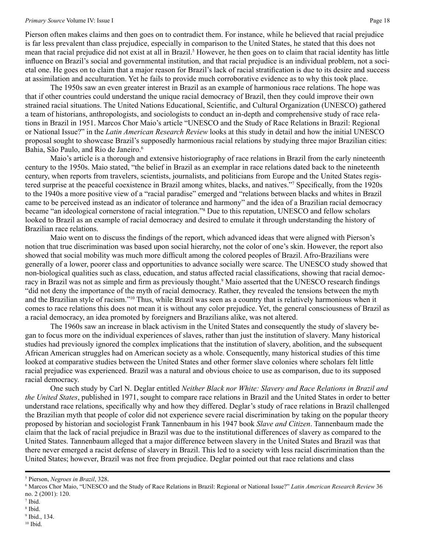## *Primary Source* Volume IV: Issue I Page 18

Pierson often makes claims and then goes on to contradict them. For instance, while he believed that racial prejudice is far less prevalent than class prejudice, especially in comparison to the United States, he stated that this does not mean that racial prejudice did not exist at all in Brazil.<sup>5</sup> However, he then goes on to claim that racial identity has little influence on Brazil's social and governmental institution, and that racial prejudice is an individual problem, not a societal one. He goes on to claim that a major reason for Brazil's lack of racial stratification is due to its desire and success at assimilation and acculturation. Yet he fails to provide much corroborative evidence as to why this took place.

The 1950s saw an even greater interest in Brazil as an example of harmonious race relations. The hope was that if other countries could understand the unique racial democracy of Brazil, then they could improve their own strained racial situations. The United Nations Educational, Scientific, and Cultural Organization (UNESCO) gathered a team of historians, anthropologists, and sociologists to conduct an in-depth and comprehensive study of race relations in Brazil in 1951. Marcos Chor Maio's article "UNESCO and the Study of Race Relations in Brazil: Regional or National Issue?" in the *Latin American Research Review* looks at this study in detail and how the initial UNESCO proposal sought to showcase Brazil's supposedly harmonious racial relations by studying three major Brazilian cities: Bahia, São Paulo, and Rio de Janeiro.<sup>6</sup>

Maio's article is a thorough and extensive historiography of race relations in Brazil from the early nineteenth century to the 1950s. Maio stated, "the belief in Brazil as an exemplar in race relations dated back to the nineteenth century, when reports from travelers, scientists, journalists, and politicians from Europe and the United States registered surprise at the peaceful coexistence in Brazil among whites, blacks, and natives."7 Specifically, from the 1920s to the 1940s a more positive view of a "racial paradise" emerged and "relations between blacks and whites in Brazil came to be perceived instead as an indicator of tolerance and harmony" and the idea of a Brazilian racial democracy became "an ideological cornerstone of racial integration."8 Due to this reputation, UNESCO and fellow scholars looked to Brazil as an example of racial democracy and desired to emulate it through understanding the history of Brazilian race relations.

Maio went on to discuss the findings of the report, which advanced ideas that were aligned with Pierson's notion that true discrimination was based upon social hierarchy, not the color of one's skin. However, the report also showed that social mobility was much more difficult among the colored peoples of Brazil. Afro-Brazilians were generally of a lower, poorer class and opportunities to advance socially were scarce. The UNESCO study showed that non-biological qualities such as class, education, and status affected racial classifications, showing that racial democracy in Brazil was not as simple and firm as previously thought.<sup>9</sup> Maio asserted that the UNESCO research findings "did not deny the importance of the myth of racial democracy. Rather, they revealed the tensions between the myth and the Brazilian style of racism."10 Thus, while Brazil was seen as a country that is relatively harmonious when it comes to race relations this does not mean it is without any color prejudice. Yet, the general consciousness of Brazil as a racial democracy, an idea promoted by foreigners and Brazilians alike, was not altered.

The 1960s saw an increase in black activism in the United States and consequently the study of slavery began to focus more on the individual experiences of slaves, rather than just the institution of slavery. Many historical studies had previously ignored the complex implications that the institution of slavery, abolition, and the subsequent African American struggles had on American society as a whole. Consequently, many historical studies of this time looked at comparative studies between the United States and other former slave colonies where scholars felt little racial prejudice was experienced. Brazil was a natural and obvious choice to use as comparison, due to its supposed racial democracy.

One such study by Carl N. Deglar entitled *Neither Black nor White: Slavery and Race Relations in Brazil and the United States*, published in 1971, sought to compare race relations in Brazil and the United States in order to better understand race relations, specifically why and how they differed. Deglar's study of race relations in Brazil challenged the Brazilian myth that people of color did not experience severe racial discrimination by taking on the popular theory proposed by historian and sociologist Frank Tannenbaum in his 1947 book *Slave and Citizen*. Tannenbaum made the claim that the lack of racial prejudice in Brazil was due to the institutional differences of slavery as compared to the United States. Tannenbaum alleged that a major difference between slavery in the United States and Brazil was that there never emerged a racist defense of slavery in Brazil. This led to a society with less racial discrimination than the United States; however, Brazil was not free from prejudice. Deglar pointed out that race relations and class

<sup>5</sup> Pierson, *Negroes in Brazil*, 328.

<sup>6</sup> Marcos Chor Maio, "UNESCO and the Study of Race Relations in Brazil: Regional or National Issue?" *Latin American Research Review* 36 no. 2 (2001): 120.

<sup>7</sup> Ibid.

<sup>8</sup> Ibid.

<sup>9</sup> Ibid., 134.

 $10$  Ibid.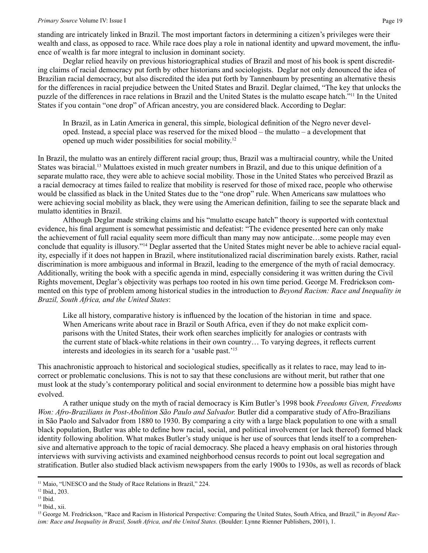standing are intricately linked in Brazil. The most important factors in determining a citizen's privileges were their wealth and class, as opposed to race. While race does play a role in national identity and upward movement, the influence of wealth is far more integral to inclusion in dominant society.

Deglar relied heavily on previous historiographical studies of Brazil and most of his book is spent discrediting claims of racial democracy put forth by other historians and sociologists. Deglar not only denounced the idea of Brazilian racial democracy, but also discredited the idea put forth by Tannenbaum by presenting an alternative thesis for the differences in racial prejudice between the United States and Brazil. Deglar claimed, "The key that unlocks the puzzle of the differences in race relations in Brazil and the United States is the mulatto escape hatch."11 In the United States if you contain "one drop" of African ancestry, you are considered black. According to Deglar:

In Brazil, as in Latin America in general, this simple, biological definition of the Negro never developed. Instead, a special place was reserved for the mixed blood – the mulatto – a development that opened up much wider possibilities for social mobility.12

In Brazil, the mulatto was an entirely different racial group; thus, Brazil was a multiracial country, while the United States was biracial.13 Mulattoes existed in much greater numbers in Brazil, and due to this unique definition of a separate mulatto race, they were able to achieve social mobility. Those in the United States who perceived Brazil as a racial democracy at times failed to realize that mobility is reserved for those of mixed race, people who otherwise would be classified as black in the United States due to the "one drop" rule. When Americans saw mulattoes who were achieving social mobility as black, they were using the American definition, failing to see the separate black and mulatto identities in Brazil.

Although Deglar made striking claims and his "mulatto escape hatch" theory is supported with contextual evidence, his final argument is somewhat pessimistic and defeatist: "The evidence presented here can only make the achievement of full racial equality seem more difficult than many may now anticipate…some people may even conclude that equality is illusory."14 Deglar asserted that the United States might never be able to achieve racial equality, especially if it does not happen in Brazil, where institutionalized racial discrimination barely exists. Rather, racial discrimination is more ambiguous and informal in Brazil, leading to the emergence of the myth of racial democracy. Additionally, writing the book with a specific agenda in mind, especially considering it was written during the Civil Rights movement, Deglar's objectivity was perhaps too rooted in his own time period. George M. Fredrickson commented on this type of problem among historical studies in the introduction to *Beyond Racism: Race and Inequality in Brazil, South Africa, and the United States*:

Like all history, comparative history is influenced by the location of the historian in time and space. When Americans write about race in Brazil or South Africa, even if they do not make explicit comparisons with the United States, their work often searches implicitly for analogies or contrasts with the current state of black-white relations in their own country… To varying degrees, it reflects current interests and ideologies in its search for a 'usable past.'15

This anachronistic approach to historical and sociological studies, specifically as it relates to race, may lead to incorrect or problematic conclusions. This is not to say that these conclusions are without merit, but rather that one must look at the study's contemporary political and social environment to determine how a possible bias might have evolved.

A rather unique study on the myth of racial democracy is Kim Butler's 1998 book *Freedoms Given, Freedoms Won: Afro-Brazilians in Post-Abolition São Paulo and Salvador.* Butler did a comparative study of Afro-Brazilians in São Paolo and Salvador from 1880 to 1930. By comparing a city with a large black population to one with a small black population, Butler was able to define how racial, social, and political involvement (or lack thereof) formed black identity following abolition. What makes Butler's study unique is her use of sources that lends itself to a comprehensive and alternative approach to the topic of racial democracy. She placed a heavy emphasis on oral histories through interviews with surviving activists and examined neighborhood census records to point out local segregation and stratification. Butler also studied black activism newspapers from the early 1900s to 1930s, as well as records of black

<sup>&</sup>lt;sup>11</sup> Maio, "UNESCO and the Study of Race Relations in Brazil," 224.

<sup>12</sup> Ibid., 203.

<sup>13</sup> Ibid.

<sup>&</sup>lt;sup>14</sup> Ibid., xii.

<sup>&</sup>lt;sup>15</sup> George M. Fredrickson, "Race and Racism in Historical Perspective: Comparing the United States, South Africa, and Brazil," in *Beyond Racism: Race and Inequality in Brazil, South Africa, and the United States.* (Boulder: Lynne Rienner Publishers, 2001), 1.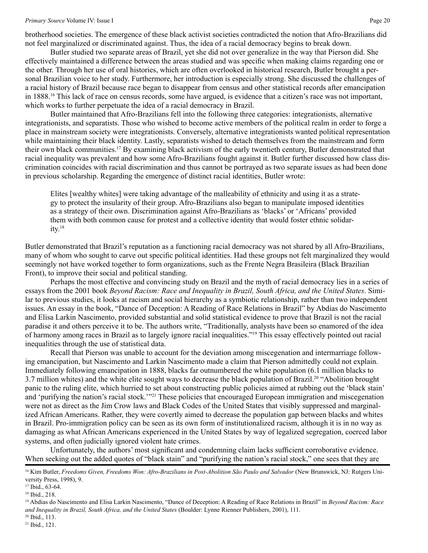brotherhood societies. The emergence of these black activist societies contradicted the notion that Afro-Brazilians did not feel marginalized or discriminated against. Thus, the idea of a racial democracy begins to break down.

Butler studied two separate areas of Brazil, yet she did not over generalize in the way that Pierson did. She effectively maintained a difference between the areas studied and was specific when making claims regarding one or the other. Through her use of oral histories, which are often overlooked in historical research, Butler brought a personal Brazilian voice to her study. Furthermore, her introduction is especially strong. She discussed the challenges of a racial history of Brazil because race began to disappear from census and other statistical records after emancipation in 1888.16 This lack of race on census records, some have argued, is evidence that a citizen's race was not important, which works to further perpetuate the idea of a racial democracy in Brazil.

Butler maintained that Afro-Brazilians fell into the following three categories: integrationists, alternative integrationists, and separatists. Those who wished to become active members of the political realm in order to forge a place in mainstream society were integrationists. Conversely, alternative integrationists wanted political representation while maintaining their black identity. Lastly, separatists wished to detach themselves from the mainstream and form their own black communities.17 By examining black activism of the early twentieth century, Butler demonstrated that racial inequality was prevalent and how some Afro-Brazilians fought against it. Butler further discussed how class discrimination coincides with racial discrimination and thus cannot be portrayed as two separate issues as had been done in previous scholarship. Regarding the emergence of distinct racial identities, Butler wrote:

Elites [wealthy whites] were taking advantage of the malleability of ethnicity and using it as a strategy to protect the insularity of their group. Afro-Brazilians also began to manipulate imposed identities as a strategy of their own. Discrimination against Afro-Brazilians as 'blacks' or 'Africans' provided them with both common cause for protest and a collective identity that would foster ethnic solidar $itv.<sup>18</sup>$ 

Butler demonstrated that Brazil's reputation as a functioning racial democracy was not shared by all Afro-Brazilians, many of whom who sought to carve out specific political identities. Had these groups not felt marginalized they would seemingly not have worked together to form organizations, such as the Frente Negra Brasileira (Black Brazilian Front), to improve their social and political standing.

Perhaps the most effective and convincing study on Brazil and the myth of racial democracy lies in a series of essays from the 2001 book *Beyond Racism: Race and Inequality in Brazil, South Africa, and the United States*. Similar to previous studies, it looks at racism and social hierarchy as a symbiotic relationship, rather than two independent issues. An essay in the book, "Dance of Deception: A Reading of Race Relations in Brazil" by Abdias do Nascimento and Elisa Larkin Nascimento, provided substantial and solid statistical evidence to prove that Brazil is not the racial paradise it and others perceive it to be. The authors write, "Traditionally, analysts have been so enamored of the idea of harmony among races in Brazil as to largely ignore racial inequalities."19 This essay effectively pointed out racial inequalities through the use of statistical data.

Recall that Pierson was unable to account for the deviation among miscegenation and intermarriage following emancipation, but Nascimento and Larkin Nascimento made a claim that Pierson admittedly could not explain. Immediately following emancipation in 1888, blacks far outnumbered the white population (6.1 million blacks to 3.7 million whites) and the white elite sought ways to decrease the black population of Brazil.20 "Abolition brought panic to the ruling elite, which hurried to set about constructing public policies aimed at rubbing out the 'black stain' and 'purifying the nation's racial stock.'"21 These policies that encouraged European immigration and miscegenation were not as direct as the Jim Crow laws and Black Codes of the United States that visibly suppressed and marginalized African Americans. Rather, they were covertly aimed to decrease the population gap between blacks and whites in Brazil. Pro-immigration policy can be seen as its own form of institutionalized racism, although it is in no way as damaging as what African Americans experienced in the United States by way of legalized segregation, coerced labor systems, and often judicially ignored violent hate crimes.

Unfortunately, the authors' most significant and condemning claim lacks sufficient corroborative evidence. When seeking out the added quotes of "black stain" and "purifying the nation's racial stock," one sees that they are

<sup>&</sup>lt;sup>16</sup> Kim Butler, *Freedoms Given, Freedoms Won: Afro-Brazilians in Post-Abolition São Paulo and Salvador* (New Brunswick, NJ: Rutgers University Press, 1998), 9.

<sup>17</sup> Ibid., 63-64.

<sup>18</sup> Ibid., 218.

<sup>19</sup> Abdias do Nascimento and Elisa Larkin Nascimento, "Dance of Deception: A Reading of Race Relations in Brazil" in *Beyond Racism: Race and Inequality in Brazil, South Africa, and the United States* (Boulder: Lynne Rienner Publishers, 2001), 111.

<sup>20</sup> Ibid., 113. 21 Ibid., 121.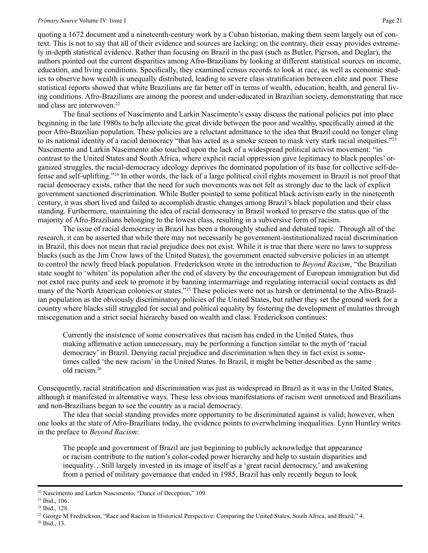## *Primary Source* Volume IV: Issue I Page 21

quoting a 1672 document and a nineteenth-century work by a Cuban historian, making them seem largely out of context. This is not to say that all of their evidence and sources are lacking; on the contrary, their essay provides extremely in-depth statistical evidence. Rather than focusing on Brazil in the past (such as Butler, Pierson, and Deglar), the authors pointed out the current disparities among Afro-Brazilians by looking at different statistical sources on income, education, and living conditions. Specifically, they examined census records to look at race, as well as economic studies to observe how wealth is unequally distributed, leading to severe class stratification between elite and poor. These statistical reports showed that white Brazilians are far better off in terms of wealth, education, health, and general living conditions. Afro-Brazilians are among the poorest and under-educated in Brazilian society, demonstrating that race and class are interwoven  $22$ 

The final sections of Nascimento and Larkin Nascimento's essay discuss the national policies put into place beginning in the late 1980s to help alleviate the great divide between the poor and wealthy, specifically aimed at the poor Afro-Brazilian population. These policies are a reluctant admittance to the idea that Brazil could no longer cling to its national identity of a racial democracy "that has acted as a smoke screen to mask very stark racial inequities."23 Nascimento and Larkin Nascimento also touched upon the lack of a widespread political activist movement: "in contrast to the United States and South Africa, where explicit racial oppression gave legitimacy to black peoples' organized struggles, the racial-democracy ideology deprives the dominated population of its base for collective self-defense and self-uplifting."24 In other words, the lack of a large political civil rights movement in Brazil is not proof that racial democracy exists, rather that the need for such movements was not felt as strongly due to the lack of explicit government sanctioned discrimination. While Butler pointed to some political black activism early in the nineteenth century, it was short lived and failed to accomplish drastic changes among Brazil's black population and their class standing. Furthermore, maintaining the idea of racial democracy in Brazil worked to preserve the status quo of the majority of Afro-Brazilians belonging to the lowest class, resulting in a subversive form of racism.

The issue of racial democracy in Brazil has been a thoroughly studied and debated topic. Through all of the research, it can be asserted that while there may not necessarily be government-institutionalized racial discrimination in Brazil, this does not mean that racial prejudice does not exist. While it is true that there were no laws to suppress blacks (such as the Jim Crow laws of the United States), the government enacted subversive policies in an attempt to control the newly freed black population. Frederickson wrote in the introduction to *Beyond Racism*, "the Brazilian state sought to 'whiten' its population after the end of slavery by the encouragement of European immigration but did not extol race purity and seek to promote it by banning intermarriage and regulating interracial social contacts as did many of the North American colonies or states."25 These policies were not as harsh or detrimental to the Afro-Brazilian population as the obviously discriminatory policies of the United States, but rather they set the ground work for a country where blacks still struggled for social and political equality by fostering the development of mulattos through miscegenation and a strict social hierarchy based on wealth and class. Frederickson continues:

Currently the insistence of some conservatives that racism has ended in the United States, thus making affirmative action unnecessary, may be performing a function similar to the myth of 'racial democracy' in Brazil. Denying racial prejudice and discrimination when they in fact exist is sometimes called 'the new racism' in the United States. In Brazil, it might be better described as the same old racism.26

Consequently, racial stratification and discrimination was just as widespread in Brazil as it was in the United States, although it manifested in alternative ways. These less obvious manifestations of racism went unnoticed and Brazilians and non-Brazilians began to see the country as a racial democracy.

The idea that social standing provides more opportunity to be discriminated against is valid; however, when one looks at the state of Afro-Brazilians today, the evidence points to overwhelming inequalities. Lynn Huntley writes in the preface to *Beyond Racism*:

The people and government of Brazil are just beginning to publicly acknowledge that appearance or racism contribute to the nation's color-coded power hierarchy and help to sustain disparities and inequality…Still largely invested in its image of itself as a 'great racial democracy,' and awakening from a period of military governance that ended in 1985, Brazil has only recently begun to look

<sup>22</sup> Nascimento and Larkin Nascimento, "Dance of Deception," 109.

<sup>23</sup> Ibid., 106.

<sup>24</sup> Ibid., 128.

<sup>&</sup>lt;sup>25</sup> George M Fredrickson, "Race and Racism in Historical Perspective: Comparing the United States, South Africa, and Brazil," 4.